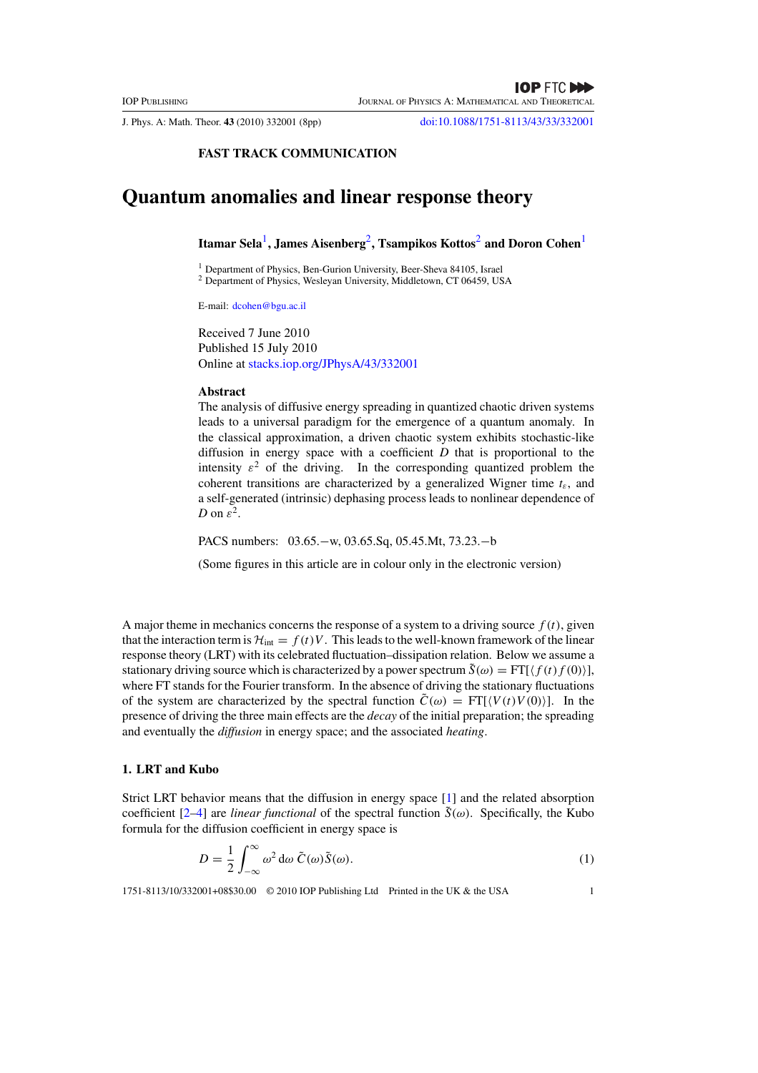J. Phys. A: Math. Theor. **43** (2010) 332001 (8pp) doi:10.1088/1751-8113/43/33/332001

## **FAST TRACK COMMUNICATION**

# **Quantum anomalies and linear response theory**

**Itamar Sela**1**, James Aisenberg**2**, Tsampikos Kottos**<sup>2</sup> **and Doron Cohen**<sup>1</sup>

<sup>1</sup> Department of Physics, Ben-Gurion University, Beer-Sheva 84105, Israel

<sup>2</sup> Department of Physics, Wesleyan University, Middletown, CT 06459, USA

E-mail: dcohen@bgu.ac.il

Received 7 June 2010 Published 15 July 2010 Online at stacks.iop.org/JPhysA/43/332001

#### **Abstract**

The analysis of diffusive energy spreading in quantized chaotic driven systems leads to a universal paradigm for the emergence of a quantum anomaly. In the classical approximation, a driven chaotic system exhibits stochastic-like diffusion in energy space with a coefficient *D* that is proportional to the intensity  $\varepsilon^2$  of the driving. In the corresponding quantized problem the coherent transitions are characterized by a generalized Wigner time  $t<sub>\varepsilon</sub>$ , and a self-generated (intrinsic) dephasing process leads to nonlinear dependence of *D* on  $\varepsilon^2$ .

PACS numbers: 03.65.−w, 03.65.Sq, 05.45.Mt, 73.23.−b

(Some figures in this article are in colour only in the electronic version)

A major theme in mechanics concerns the response of a system to a driving source  $f(t)$ , given that the interaction term is  $\mathcal{H}_{int} = f(t)V$ . This leads to the well-known framework of the linear response theory (LRT) with its celebrated fluctuation–dissipation relation. Below we assume a stationary driving source which is characterized by a power spectrum  $\tilde{S}(\omega) = FT[\langle f(t)f(0) \rangle],$ where FT stands for the Fourier transform. In the absence of driving the stationary fluctuations of the system are characterized by the spectral function  $\tilde{C}(\omega) = FT[\langle V(t)V(0) \rangle]$ . In the presence of driving the three main effects are the *decay* of the initial preparation; the spreading and eventually the *diffusion* in energy space; and the associated *heating*.

#### **1. LRT and Kubo**

Strict LRT behavior means that the diffusion in energy space [1] and the related absorption coefficient  $[2-4]$  are *linear functional* of the spectral function  $\tilde{S}(\omega)$ . Specifically, the Kubo formula for the diffusion coefficient in energy space is

$$
D = \frac{1}{2} \int_{-\infty}^{\infty} \omega^2 d\omega \, \tilde{C}(\omega) \tilde{S}(\omega).
$$
 (1)

1751-8113/10/332001+08\$30.00 © 2010 IOP Publishing Ltd Printed in the UK & the USA 1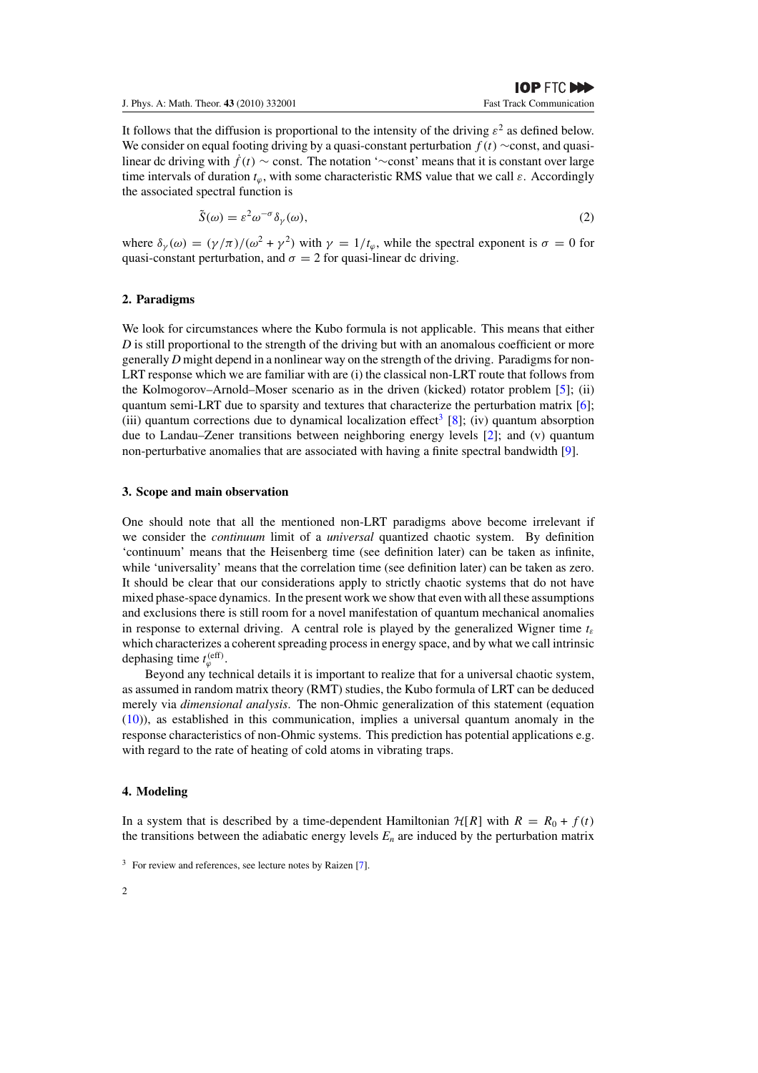It follows that the diffusion is proportional to the intensity of the driving  $\varepsilon^2$  as defined below. We consider on equal footing driving by a quasi-constant perturbation *f (t)* ∼const, and quasilinear dc driving with  $\dot{f}(t) \sim$  const. The notation '∼const' means that it is constant over large time intervals of duration *tϕ*, with some characteristic RMS value that we call *ε*. Accordingly the associated spectral function is

$$
\tilde{S}(\omega) = \varepsilon^2 \omega^{-\sigma} \delta_{\gamma}(\omega),\tag{2}
$$

where  $\delta_{\gamma}(\omega) = (\gamma/\pi)/(\omega^2 + \gamma^2)$  with  $\gamma = 1/t_{\varphi}$ , while the spectral exponent is  $\sigma = 0$  for quasi-constant perturbation, and  $\sigma = 2$  for quasi-linear dc driving.

#### **2. Paradigms**

We look for circumstances where the Kubo formula is not applicable. This means that either *D* is still proportional to the strength of the driving but with an anomalous coefficient or more generally *D* might depend in a nonlinear way on the strength of the driving. Paradigms for non-LRT response which we are familiar with are (i) the classical non-LRT route that follows from the Kolmogorov–Arnold–Moser scenario as in the driven (kicked) rotator problem [5]; (ii) quantum semi-LRT due to sparsity and textures that characterize the perturbation matrix [6]; (iii) quantum corrections due to dynamical localization effect<sup>3</sup> [8]; (iv) quantum absorption due to Landau–Zener transitions between neighboring energy levels [2]; and (v) quantum non-perturbative anomalies that are associated with having a finite spectral bandwidth [9].

#### **3. Scope and main observation**

One should note that all the mentioned non-LRT paradigms above become irrelevant if we consider the *continuum* limit of a *universal* quantized chaotic system. By definition 'continuum' means that the Heisenberg time (see definition later) can be taken as infinite, while 'universality' means that the correlation time (see definition later) can be taken as zero. It should be clear that our considerations apply to strictly chaotic systems that do not have mixed phase-space dynamics. In the present work we show that even with all these assumptions and exclusions there is still room for a novel manifestation of quantum mechanical anomalies in response to external driving. A central role is played by the generalized Wigner time  $t_{\varepsilon}$ which characterizes a coherent spreading process in energy space, and by what we call intrinsic dephasing time  $t_{\varphi}^{\text{(eff)}}$ .

Beyond any technical details it is important to realize that for a universal chaotic system, as assumed in random matrix theory (RMT) studies, the Kubo formula of LRT can be deduced merely via *dimensional analysis*. The non-Ohmic generalization of this statement (equation (10)), as established in this communication, implies a universal quantum anomaly in the response characteristics of non-Ohmic systems. This prediction has potential applications e.g. with regard to the rate of heating of cold atoms in vibrating traps.

#### **4. Modeling**

In a system that is described by a time-dependent Hamiltonian  $\mathcal{H}[R]$  with  $R = R_0 + f(t)$ the transitions between the adiabatic energy levels  $E_n$  are induced by the perturbation matrix

 $3$  For review and references, see lecture notes by Raizen [7].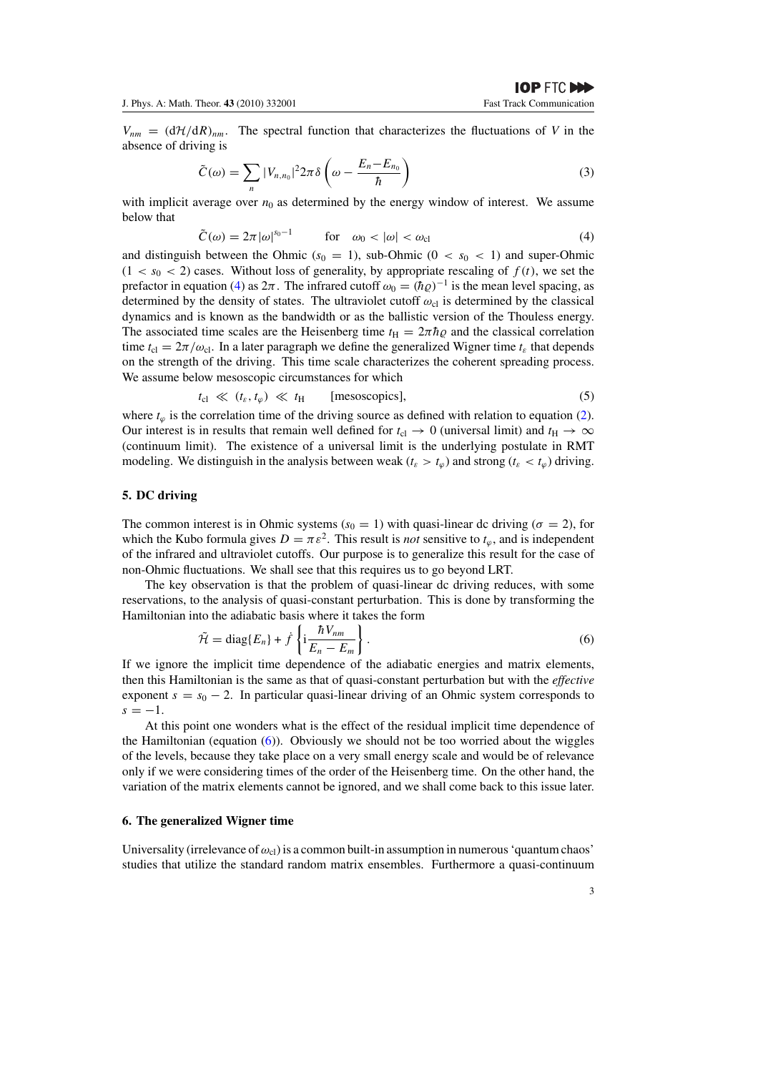$V_{nm} = (d\mathcal{H}/dR)_{nm}$ . The spectral function that characterizes the fluctuations of *V* in the absence of driving is

$$
\tilde{C}(\omega) = \sum_{n} |V_{n,n_0}|^2 2\pi \delta \left(\omega - \frac{E_n - E_{n_0}}{\hbar}\right)
$$
\n(3)

with implicit average over  $n_0$  as determined by the energy window of interest. We assume below that

$$
\tilde{C}(\omega) = 2\pi |\omega|^{s_0 - 1} \qquad \text{for} \quad \omega_0 < |\omega| < \omega_{\text{cl}} \tag{4}
$$

and distinguish between the Ohmic  $(s_0 = 1)$ , sub-Ohmic  $(0 < s_0 < 1)$  and super-Ohmic  $(1 < s<sub>0</sub> < 2)$  cases. Without loss of generality, by appropriate rescaling of  $f(t)$ , we set the prefactor in equation (4) as  $2\pi$ . The infrared cutoff  $\omega_0 = (\hbar \varrho)^{-1}$  is the mean level spacing, as determined by the density of states. The ultraviolet cutoff  $\omega_{c1}$  is determined by the classical dynamics and is known as the bandwidth or as the ballistic version of the Thouless energy. The associated time scales are the Heisenberg time  $t_H = 2\pi\hbar\rho$  and the classical correlation time  $t_{\rm cl} = 2\pi/\omega_{\rm cl}$ . In a later paragraph we define the generalized Wigner time  $t_{\varepsilon}$  that depends on the strength of the driving. This time scale characterizes the coherent spreading process. We assume below mesoscopic circumstances for which

$$
t_{\rm cl} \ll (t_{\varepsilon}, t_{\varphi}) \ll t_{\rm H} \qquad \text{[mesoscopics]}, \tag{5}
$$

where  $t<sub>ϕ</sub>$  is the correlation time of the driving source as defined with relation to equation (2). Our interest is in results that remain well defined for  $t_{\text{cl}} \rightarrow 0$  (universal limit) and  $t_{\text{H}} \rightarrow \infty$ (continuum limit). The existence of a universal limit is the underlying postulate in RMT modeling. We distinguish in the analysis between weak ( $t_{\varepsilon} > t_{\varphi}$ ) and strong ( $t_{\varepsilon} < t_{\varphi}$ ) driving.

# **5. DC driving**

The common interest is in Ohmic systems ( $s<sub>0</sub> = 1$ ) with quasi-linear dc driving ( $\sigma = 2$ ), for which the Kubo formula gives  $D = \pi \varepsilon^2$ . This result is *not* sensitive to  $t_{\varphi}$ , and is independent of the infrared and ultraviolet cutoffs. Our purpose is to generalize this result for the case of non-Ohmic fluctuations. We shall see that this requires us to go beyond LRT.

The key observation is that the problem of quasi-linear dc driving reduces, with some reservations, to the analysis of quasi-constant perturbation. This is done by transforming the Hamiltonian into the adiabatic basis where it takes the form

$$
\tilde{\mathcal{H}} = \text{diag}\{E_n\} + \dot{f}\left\{\mathbf{i}\frac{\hbar V_{nm}}{E_n - E_m}\right\}.
$$
\n(6)

If we ignore the implicit time dependence of the adiabatic energies and matrix elements, then this Hamiltonian is the same as that of quasi-constant perturbation but with the *effective* exponent  $s = s_0 - 2$ . In particular quasi-linear driving of an Ohmic system corresponds to  $s = -1$ .

At this point one wonders what is the effect of the residual implicit time dependence of the Hamiltonian (equation  $(6)$ ). Obviously we should not be too worried about the wiggles of the levels, because they take place on a very small energy scale and would be of relevance only if we were considering times of the order of the Heisenberg time. On the other hand, the variation of the matrix elements cannot be ignored, and we shall come back to this issue later.

#### **6. The generalized Wigner time**

Universality (irrelevance of  $\omega_{\rm cl}$ ) is a common built-in assumption in numerous 'quantum chaos' studies that utilize the standard random matrix ensembles. Furthermore a quasi-continuum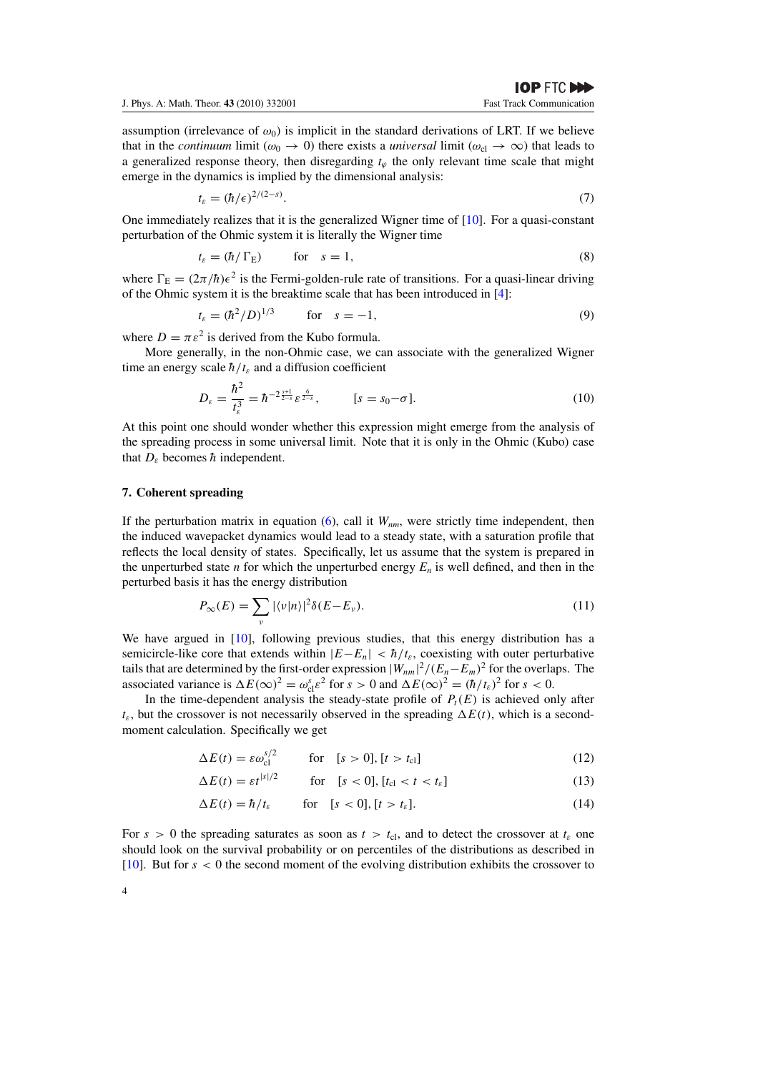assumption (irrelevance of  $\omega_0$ ) is implicit in the standard derivations of LRT. If we believe that in the *continuum* limit ( $\omega_0 \rightarrow 0$ ) there exists a *universal* limit ( $\omega_{cl} \rightarrow \infty$ ) that leads to a generalized response theory, then disregarding  $t<sub>φ</sub>$  the only relevant time scale that might emerge in the dynamics is implied by the dimensional analysis:

$$
t_{\varepsilon} = (\hbar/\epsilon)^{2/(2-s)}.\tag{7}
$$

One immediately realizes that it is the generalized Wigner time of  $[10]$ . For a quasi-constant perturbation of the Ohmic system it is literally the Wigner time

$$
t_{\varepsilon} = (\hbar / \Gamma_{\mathcal{E}}) \qquad \text{for} \quad s = 1,
$$
 (8)

where  $\Gamma_{\rm E} = (2\pi/\hbar)\epsilon^2$  is the Fermi-golden-rule rate of transitions. For a quasi-linear driving of the Ohmic system it is the breaktime scale that has been introduced in [4]:

$$
t_{\varepsilon} = (\hbar^2/D)^{1/3} \qquad \text{for} \quad s = -1,
$$
 (9)

where  $D = \pi \varepsilon^2$  is derived from the Kubo formula.

More generally, in the non-Ohmic case, we can associate with the generalized Wigner time an energy scale  $\hbar/t_{\varepsilon}$  and a diffusion coefficient

$$
D_{\varepsilon} = \frac{\hbar^2}{t_{\varepsilon}^3} = \hbar^{-2\frac{s+1}{2-s}} \varepsilon^{\frac{6}{2-s}}, \qquad [s = s_0 - \sigma]. \tag{10}
$$

At this point one should wonder whether this expression might emerge from the analysis of the spreading process in some universal limit. Note that it is only in the Ohmic (Kubo) case that  $D_{\varepsilon}$  becomes  $\hbar$  independent.

## **7. Coherent spreading**

If the perturbation matrix in equation  $(6)$ , call it  $W_{nm}$ , were strictly time independent, then the induced wavepacket dynamics would lead to a steady state, with a saturation profile that reflects the local density of states. Specifically, let us assume that the system is prepared in the unperturbed state *n* for which the unperturbed energy  $E_n$  is well defined, and then in the perturbed basis it has the energy distribution

$$
P_{\infty}(E) = \sum_{\nu} |\langle \nu | n \rangle|^2 \delta(E - E_{\nu}). \tag{11}
$$

We have argued in [10], following previous studies, that this energy distribution has a semicircle-like core that extends within  $|E-E_n| < \hbar/t_{\epsilon}$ , coexisting with outer perturbative tails that are determined by the first-order expression  $|W_{nm}|^2/(E_n - E_m)^2$  for the overlaps. The associated variance is  $\Delta E(\infty)^2 = \omega_{cl}^s \varepsilon^2$  for  $s > 0$  and  $\Delta E(\infty)^2 = (\hbar/t_\varepsilon)^2$  for  $s < 0$ .

In the time-dependent analysis the steady-state profile of  $P_t(E)$  is achieved only after  $t_{\varepsilon}$ , but the crossover is not necessarily observed in the spreading  $\Delta E(t)$ , which is a secondmoment calculation. Specifically we get

$$
\Delta E(t) = \varepsilon \omega_{\rm cl}^{s/2} \qquad \text{for} \quad [s > 0], [t > t_{\rm cl}] \tag{12}
$$

 $\Delta E(t) = \varepsilon t^{|s|/2}$  for [*s* < 0]*,*[*t*<sub>cl</sub> < *t* < *t<sub><i>s*</sub>] (13)

$$
\Delta E(t) = \hbar / t_{\varepsilon} \qquad \text{for} \quad [s < 0], [t > t_{\varepsilon}]. \tag{14}
$$

For  $s > 0$  the spreading saturates as soon as  $t > t_{c1}$ , and to detect the crossover at  $t_{\varepsilon}$  one should look on the survival probability or on percentiles of the distributions as described in [10]. But for *s <* 0 the second moment of the evolving distribution exhibits the crossover to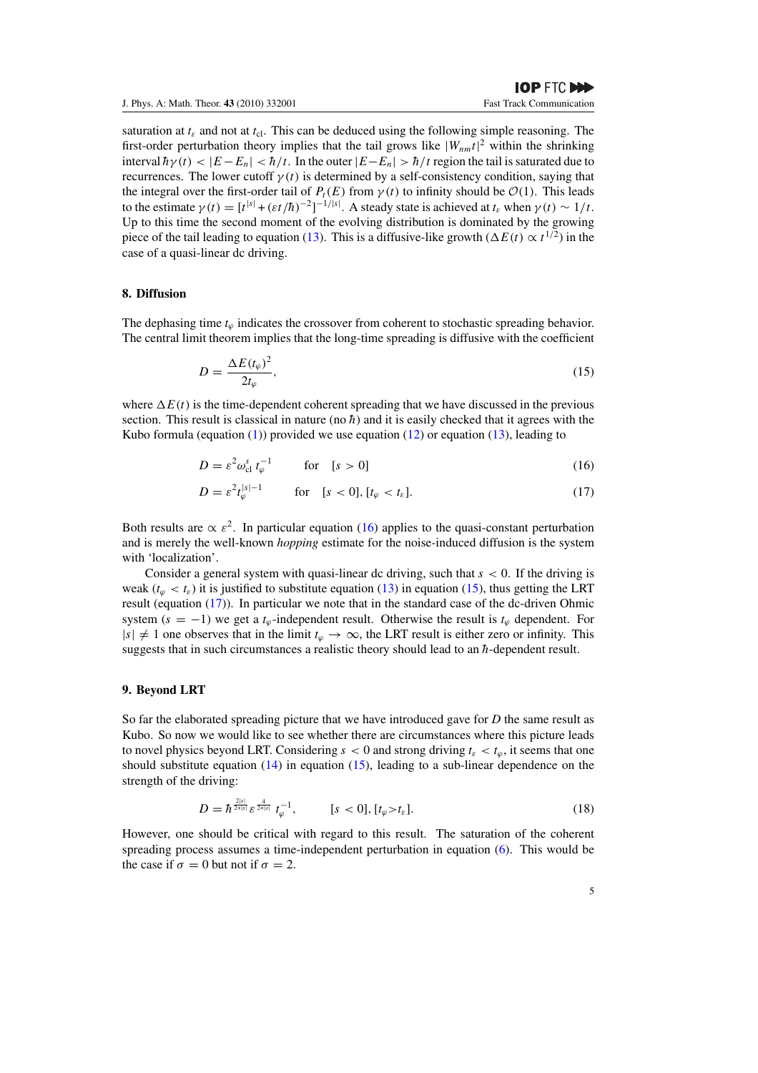saturation at  $t_{\varepsilon}$  and not at  $t_{\text{cl}}$ . This can be deduced using the following simple reasoning. The first-order perturbation theory implies that the tail grows like  $|W_{nm}t|^2$  within the shrinking interval  $\hbar \gamma(t) < |E - E_n| < \hbar/t$ . In the outer  $|E - E_n| > \hbar/t$  region the tail is saturated due to recurrences. The lower cutoff  $\gamma(t)$  is determined by a self-consistency condition, saying that the integral over the first-order tail of  $P_t(E)$  from  $\gamma(t)$  to infinity should be  $\mathcal{O}(1)$ . This leads to the estimate  $\gamma(t) = [t^{|s|} + (\varepsilon t/\hbar)^{-2}]^{-1/|s|}$ . A steady state is achieved at  $t_{\varepsilon}$  when  $\gamma(t) \sim 1/t$ . Up to this time the second moment of the evolving distribution is dominated by the growing piece of the tail leading to equation (13). This is a diffusive-like growth ( $\Delta E(t) \propto t^{1/2}$ ) in the case of a quasi-linear dc driving.

#### **8. Diffusion**

The dephasing time  $t_{\varphi}$  indicates the crossover from coherent to stochastic spreading behavior. The central limit theorem implies that the long-time spreading is diffusive with the coefficient

$$
D = \frac{\Delta E(t_{\varphi})^2}{2t_{\varphi}},\tag{15}
$$

where  $\Delta E(t)$  is the time-dependent coherent spreading that we have discussed in the previous section. This result is classical in nature (no  $\hbar$ ) and it is easily checked that it agrees with the Kubo formula (equation  $(1)$ ) provided we use equation  $(12)$  or equation  $(13)$ , leading to

$$
D = \varepsilon^2 \omega_{\text{cl}}^s \, t_{\varphi}^{-1} \qquad \text{for} \quad [s > 0] \tag{16}
$$

$$
D = \varepsilon^2 t_{\varphi}^{|s|-1} \qquad \text{for} \quad [s < 0], \, [t_{\varphi} < t_{\varepsilon}]. \tag{17}
$$

Both results are  $\propto \varepsilon^2$ . In particular equation (16) applies to the quasi-constant perturbation and is merely the well-known *hopping* estimate for the noise-induced diffusion is the system with 'localization'.

Consider a general system with quasi-linear dc driving, such that *s <* 0. If the driving is weak ( $t_{\varphi} < t_{\varepsilon}$ ) it is justified to substitute equation (13) in equation (15), thus getting the LRT result (equation (17)). In particular we note that in the standard case of the dc-driven Ohmic system ( $s = -1$ ) we get a  $t<sub>φ</sub>$ -independent result. Otherwise the result is  $t<sub>φ</sub>$  dependent. For  $|s| \neq 1$  one observes that in the limit  $t_\varphi \to \infty$ , the LRT result is either zero or infinity. This suggests that in such circumstances a realistic theory should lead to an  $\hbar$ -dependent result.

## **9. Beyond LRT**

So far the elaborated spreading picture that we have introduced gave for *D* the same result as Kubo. So now we would like to see whether there are circumstances where this picture leads to novel physics beyond LRT. Considering  $s < 0$  and strong driving  $t_{\epsilon} < t_{\varphi}$ , it seems that one should substitute equation  $(14)$  in equation  $(15)$ , leading to a sub-linear dependence on the strength of the driving:

$$
D = \hbar^{\frac{2|s|}{2+|s|}} \varepsilon^{\frac{4}{2+|s|}} t_{\varphi}^{-1}, \qquad [s < 0], [t_{\varphi} > t_{\varepsilon}]. \tag{18}
$$

However, one should be critical with regard to this result. The saturation of the coherent spreading process assumes a time-independent perturbation in equation (6). This would be the case if  $\sigma = 0$  but not if  $\sigma = 2$ .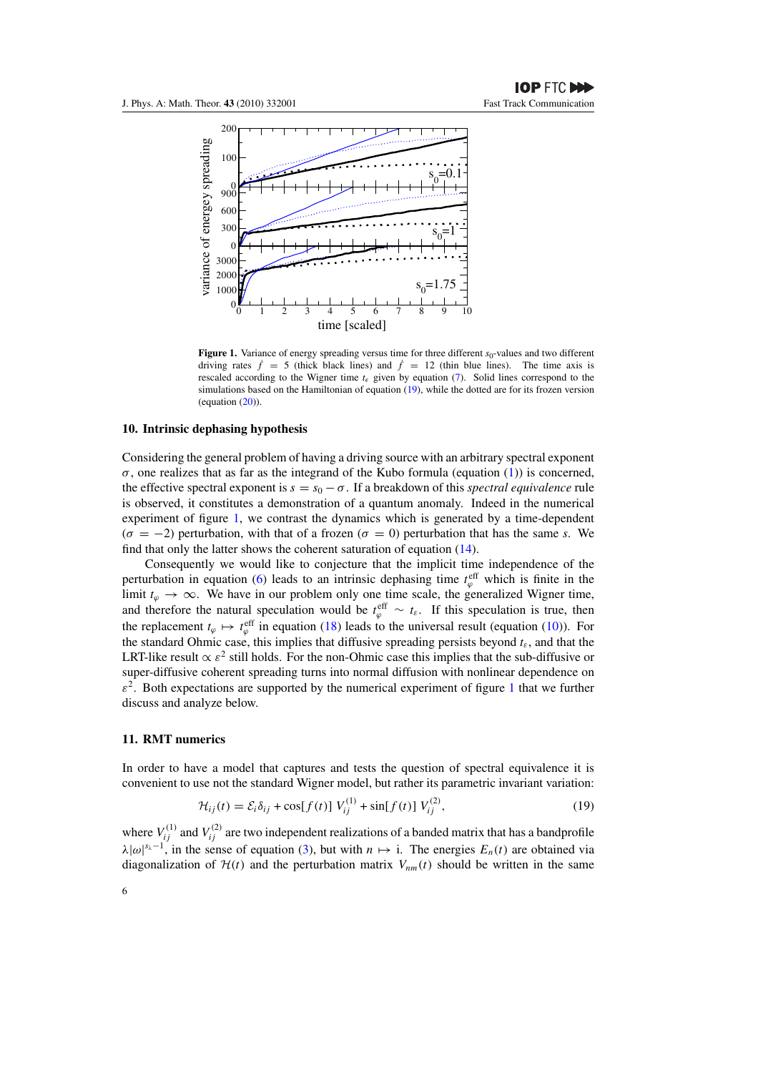

Figure 1. Variance of energy spreading versus time for three different *s*<sub>0</sub>-values and two different driving rates  $\dot{f} = 5$  (thick black lines) and  $\dot{f} = 12$  (thin blue lines). The time axis is rescaled according to the Wigner time  $t_{\epsilon}$  given by equation (7). Solid lines correspond to the simulations based on the Hamiltonian of equation (19), while the dotted are for its frozen version (equation (20)).

#### **10. Intrinsic dephasing hypothesis**

Considering the general problem of having a driving source with an arbitrary spectral exponent  $\sigma$ , one realizes that as far as the integrand of the Kubo formula (equation (1)) is concerned, the effective spectral exponent is  $s = s_0 - \sigma$ . If a breakdown of this *spectral equivalence* rule is observed, it constitutes a demonstration of a quantum anomaly. Indeed in the numerical experiment of figure 1, we contrast the dynamics which is generated by a time-dependent  $(\sigma = -2)$  perturbation, with that of a frozen ( $\sigma = 0$ ) perturbation that has the same *s*. We find that only the latter shows the coherent saturation of equation (14).

Consequently we would like to conjecture that the implicit time independence of the perturbation in equation (6) leads to an intrinsic dephasing time  $t^{\text{eff}}_{\varphi}$  which is finite in the limit  $t_\varphi \to \infty$ . We have in our problem only one time scale, the generalized Wigner time, and therefore the natural speculation would be  $t_{\varphi}^{\text{eff}} \sim t_{\varepsilon}$ . If this speculation is true, then the replacement  $t_{\varphi} \mapsto t_{\varphi}^{\text{eff}}$  in equation (18) leads to the universal result (equation (10)). For the standard Ohmic case, this implies that diffusive spreading persists beyond  $t_{\epsilon}$ , and that the LRT-like result  $\propto \varepsilon^2$  still holds. For the non-Ohmic case this implies that the sub-diffusive or super-diffusive coherent spreading turns into normal diffusion with nonlinear dependence on  $\varepsilon^2$ . Both expectations are supported by the numerical experiment of figure 1 that we further discuss and analyze below.

### **11. RMT numerics**

In order to have a model that captures and tests the question of spectral equivalence it is convenient to use not the standard Wigner model, but rather its parametric invariant variation:

$$
\mathcal{H}_{ij}(t) = \mathcal{E}_i \delta_{ij} + \cos[f(t)] V_{ij}^{(1)} + \sin[f(t)] V_{ij}^{(2)},
$$
\n(19)

where  $V_{ij}^{(1)}$  and  $V_{ij}^{(2)}$  are two independent realizations of a banded matrix that has a bandprofile  $\lambda |\omega|^{s_{\lambda}-1}$ , in the sense of equation (3), but with *n*  $\mapsto$  i. The energies  $E_n(t)$  are obtained via diagonalization of  $H(t)$  and the perturbation matrix  $V_{nm}(t)$  should be written in the same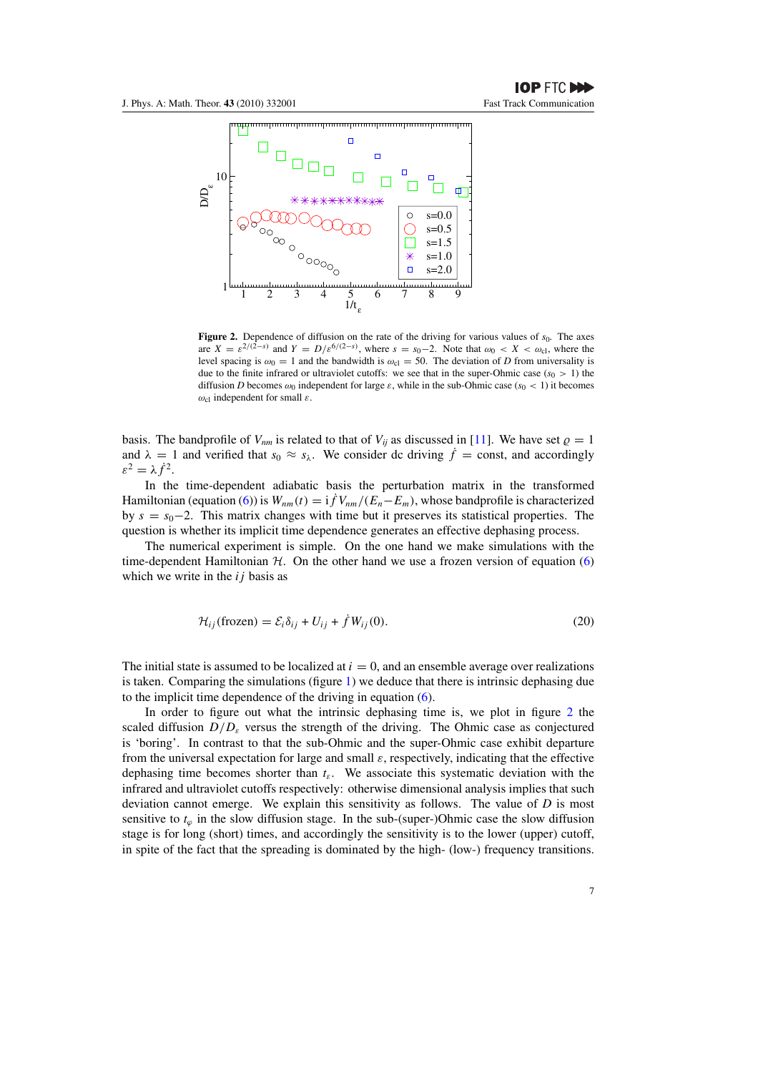

**Figure 2.** Dependence of diffusion on the rate of the driving for various values of  $s<sub>0</sub>$ . The axes are  $X = \varepsilon^{2/(2-s)}$  and  $Y = D/\varepsilon^{6/(2-s)}$ , where  $s = s_0 - 2$ . Note that  $\omega_0 < X < \omega_{\text{cl}}$ , where the level spacing is  $\omega_0 = 1$  and the bandwidth is  $\omega_{\text{cl}} = 50$ . The deviation of *D* from universality is due to the finite infrared or ultraviolet cutoffs: we see that in the super-Ohmic case ( $s<sub>0</sub> > 1$ ) the diffusion *D* becomes  $\omega_0$  independent for large  $\varepsilon$ , while in the sub-Ohmic case ( $s_0 < 1$ ) it becomes *ω*cl independent for small *ε*.

basis. The bandprofile of  $V_{nm}$  is related to that of  $V_{ii}$  as discussed in [11]. We have set  $\rho = 1$ and  $\lambda = 1$  and verified that  $s_0 \approx s_\lambda$ . We consider dc driving  $\dot{f} = \text{const}$ , and accordingly  $\varepsilon^2 = \lambda \dot{f}^2$ .

In the time-dependent adiabatic basis the perturbation matrix in the transformed Hamiltonian (equation (6)) is  $W_{nm}(t) = i f V_{nm}/(E_n - E_m)$ , whose bandprofile is characterized by *s* = *s*0−2. This matrix changes with time but it preserves its statistical properties. The question is whether its implicit time dependence generates an effective dephasing process.

The numerical experiment is simple. On the one hand we make simulations with the time-dependent Hamiltonian  $H$ . On the other hand we use a frozen version of equation (6) which we write in the *ij* basis as

$$
\mathcal{H}_{ij}(\text{frozen}) = \mathcal{E}_i \delta_{ij} + U_{ij} + \dot{f} W_{ij}(0). \tag{20}
$$

The initial state is assumed to be localized at  $i = 0$ , and an ensemble average over realizations is taken. Comparing the simulations (figure  $1$ ) we deduce that there is intrinsic dephasing due to the implicit time dependence of the driving in equation (6).

In order to figure out what the intrinsic dephasing time is, we plot in figure 2 the scaled diffusion  $D/D<sub>\epsilon</sub>$  versus the strength of the driving. The Ohmic case as conjectured is 'boring'. In contrast to that the sub-Ohmic and the super-Ohmic case exhibit departure from the universal expectation for large and small *ε*, respectively, indicating that the effective dephasing time becomes shorter than  $t_{\varepsilon}$ . We associate this systematic deviation with the infrared and ultraviolet cutoffs respectively: otherwise dimensional analysis implies that such deviation cannot emerge. We explain this sensitivity as follows. The value of *D* is most sensitive to  $t<sub>ϕ</sub>$  in the slow diffusion stage. In the sub-(super-)Ohmic case the slow diffusion stage is for long (short) times, and accordingly the sensitivity is to the lower (upper) cutoff, in spite of the fact that the spreading is dominated by the high- (low-) frequency transitions.